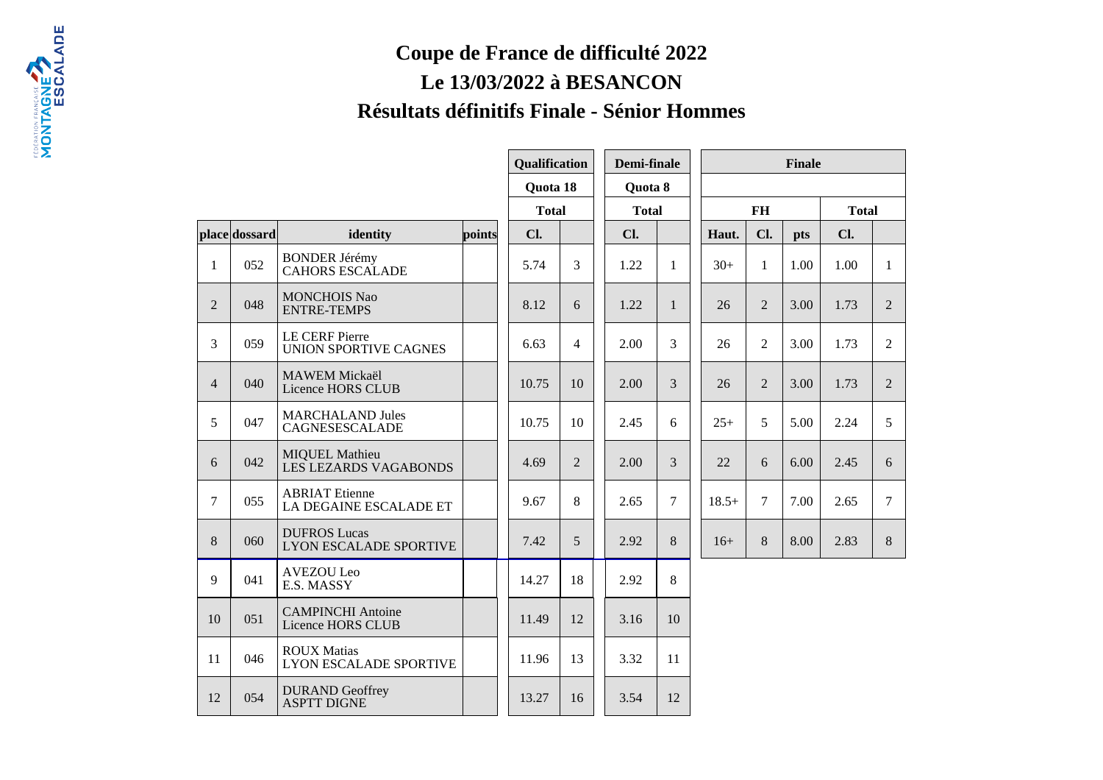## **Coupe de France de difficulté 2022Le 13/03/2022 à BESANCONRésultats définitifs Finale - Sénior Hommes**

|                |               |                                                       |        | Qualification |                |  | Demi-finale<br><b>Finale</b> |              |         |                |      |              |                |
|----------------|---------------|-------------------------------------------------------|--------|---------------|----------------|--|------------------------------|--------------|---------|----------------|------|--------------|----------------|
|                |               |                                                       |        | Quota 18      |                |  | Quota 8                      |              |         |                |      |              |                |
|                |               |                                                       |        | <b>Total</b>  |                |  | <b>Total</b>                 |              |         | <b>FH</b>      |      | <b>Total</b> |                |
|                | place dossard | identity                                              | points | Cl.           |                |  | Cl.                          |              | Haut.   | Cl.            | pts  | Cl.          |                |
| $\mathbf{1}$   | 052           | <b>BONDER Jérémy</b><br><b>CAHORS ESCALADE</b>        |        | 5.74          | 3              |  | 1.22                         | $\mathbf{1}$ | $30+$   | $\mathbf{1}$   | 1.00 | 1.00         | $\mathbf{1}$   |
| $\overline{2}$ | 048           | <b>MONCHOIS Nao</b><br><b>ENTRE-TEMPS</b>             |        | 8.12          | 6              |  | 1.22                         | $\mathbf{1}$ | 26      | $\overline{2}$ | 3.00 | 1.73         | $\overline{2}$ |
| $\overline{3}$ | 059           | <b>LE CERF Pierre</b><br><b>UNION SPORTIVE CAGNES</b> |        | 6.63          | 4              |  | 2.00                         | 3            | 26      | $\overline{2}$ | 3.00 | 1.73         | $\overline{2}$ |
| $\overline{4}$ | 040           | <b>MAWEM Mickaël</b><br>Licence HORS CLUB             |        | 10.75         | 10             |  | 2.00                         | 3            | 26      | $\overline{2}$ | 3.00 | 1.73         | $\overline{2}$ |
| 5              | 047           | <b>MARCHALAND Jules</b><br>CAGNESESCALADE             |        | 10.75         | 10             |  | 2.45                         | 6            | $25+$   | 5              | 5.00 | 2.24         | 5              |
| 6              | 042           | <b>MIQUEL Mathieu</b><br>LES LEZARDS VAGABONDS        |        | 4.69          | $\overline{2}$ |  | 2.00                         | 3            | 22      | 6              | 6.00 | 2.45         | 6              |
| $\tau$         | 055           | <b>ABRIAT</b> Etienne<br>LA DEGAINE ESCALADE ET       |        | 9.67          | 8              |  | 2.65                         | $\tau$       | $18.5+$ | $\overline{7}$ | 7.00 | 2.65         | $\overline{7}$ |
| 8              | 060           | <b>DUFROS Lucas</b><br><b>LYON ESCALADE SPORTIVE</b>  |        | 7.42          | 5              |  | 2.92                         | 8            | $16+$   | 8              | 8.00 | 2.83         | 8              |
| 9              | 041           | <b>AVEZOU Leo</b><br>E.S. MASSY                       |        | 14.27         | 18             |  | 2.92                         | 8            |         |                |      |              |                |
| 10             | 051           | <b>CAMPINCHI</b> Antoine<br>Licence HORS CLUB         |        | 11.49         | 12             |  | 3.16                         | 10           |         |                |      |              |                |
| 11             | 046           | <b>ROUX Matias</b><br><b>LYON ESCALADE SPORTIVE</b>   |        | 11.96         | 13             |  | 3.32                         | 11           |         |                |      |              |                |
| 12             | 054           | <b>DURAND</b> Geoffrey<br><b>ASPTT DIGNE</b>          |        | 13.27         | 16             |  | 3.54                         | 12           |         |                |      |              |                |